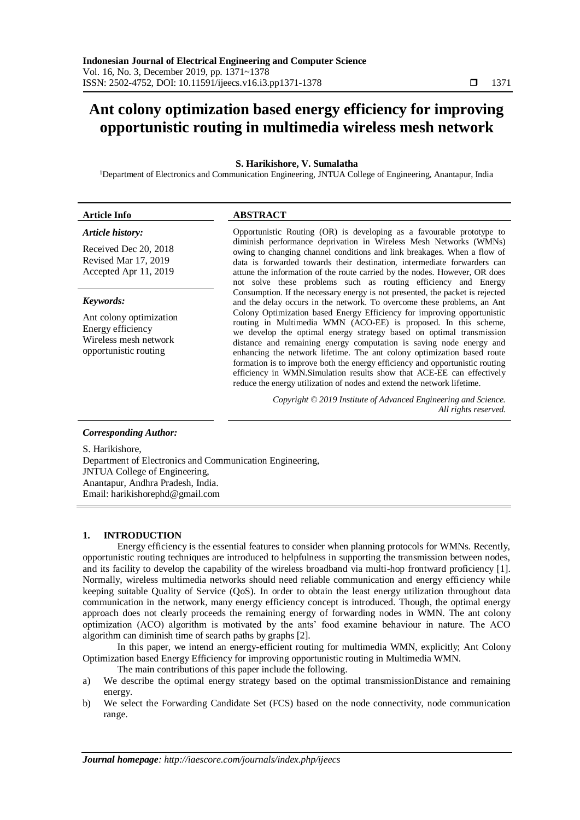# **Ant colony optimization based energy efficiency for improving opportunistic routing in multimedia wireless mesh network**

## **S. Harikishore, V. Sumalatha**

<sup>1</sup>Department of Electronics and Communication Engineering, JNTUA College of Engineering, Anantapur, India

#### *Article history:*

Received Dec 20, 2018 Revised Mar 17, 2019 Accepted Apr 11, 2019

#### *Keywords:*

Ant colony optimization Energy efficiency Wireless mesh network opportunistic routing

# **Article Info ABSTRACT**

Opportunistic Routing (OR) is developing as a favourable prototype to diminish performance deprivation in Wireless Mesh Networks (WMNs) owing to changing channel conditions and link breakages. When a flow of data is forwarded towards their destination, intermediate forwarders can attune the information of the route carried by the nodes. However, OR does not solve these problems such as routing efficiency and Energy Consumption. If the necessary energy is not presented, the packet is rejected and the delay occurs in the network. To overcome these problems, an Ant Colony Optimization based Energy Efficiency for improving opportunistic routing in Multimedia WMN (ACO-EE) is proposed. In this scheme, we develop the optimal energy strategy based on optimal transmission distance and remaining energy computation is saving node energy and enhancing the network lifetime. The ant colony optimization based route formation is to improve both the energy efficiency and opportunistic routing efficiency in WMN.Simulation results show that ACE-EE can effectively reduce the energy utilization of nodes and extend the network lifetime.

> *Copyright © 2019 Institute of Advanced Engineering and Science. All rights reserved.*

## *Corresponding Author:*

S. Harikishore, Department of Electronics and Communication Engineering, JNTUA College of Engineering, Anantapur, Andhra Pradesh, India. Email: harikishorephd@gmail.com

#### **1. INTRODUCTION**

Energy efficiency is the essential features to consider when planning protocols for WMNs. Recently, opportunistic routing techniques are introduced to helpfulness in supporting the transmission between nodes, and its facility to develop the capability of the wireless broadband via multi-hop frontward proficiency [1]. Normally, wireless multimedia networks should need reliable communication and energy efficiency while keeping suitable Quality of Service (QoS). In order to obtain the least energy utilization throughout data communication in the network, many energy efficiency concept is introduced. Though, the optimal energy approach does not clearly proceeds the remaining energy of forwarding nodes in WMN. The ant colony optimization (ACO) algorithm is motivated by the ants' food examine behaviour in nature. The ACO algorithm can diminish time of search paths by graphs [2].

In this paper, we intend an energy-efficient routing for multimedia WMN, explicitly; Ant Colony Optimization based Energy Efficiency for improving opportunistic routing in Multimedia WMN.

The main contributions of this paper include the following.

- a) We describe the optimal energy strategy based on the optimal transmissionDistance and remaining energy.
- b) We select the Forwarding Candidate Set (FCS) based on the node connectivity, node communication range.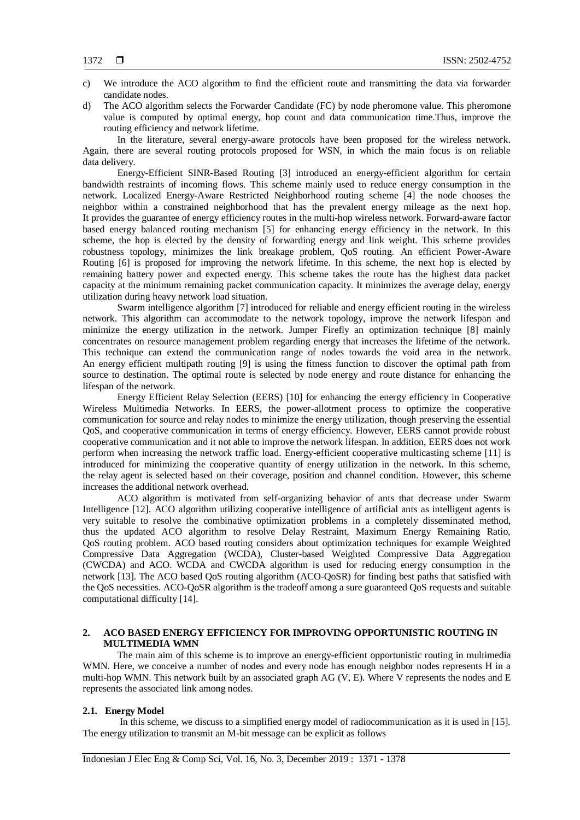- c) We introduce the ACO algorithm to find the efficient route and transmitting the data via forwarder candidate nodes.
- d) The ACO algorithm selects the Forwarder Candidate (FC) by node pheromone value. This pheromone value is computed by optimal energy, hop count and data communication time.Thus, improve the routing efficiency and network lifetime.

In the literature, several energy-aware protocols have been proposed for the wireless network. Again, there are several routing protocols proposed for WSN, in which the main focus is on reliable data delivery.

Energy-Efficient SINR-Based Routing [3] introduced an energy-efficient algorithm for certain bandwidth restraints of incoming flows. This scheme mainly used to reduce energy consumption in the network. Localized Energy-Aware Restricted Neighborhood routing scheme [4] the node chooses the neighbor within a constrained neighborhood that has the prevalent energy mileage as the next hop. It provides the guarantee of energy efficiency routes in the multi-hop wireless network. Forward-aware factor based energy balanced routing mechanism [5] for enhancing energy efficiency in the network. In this scheme, the hop is elected by the density of forwarding energy and link weight. This scheme provides robustness topology, minimizes the link breakage problem, QoS routing. An efficient Power-Aware Routing [6] is proposed for improving the network lifetime. In this scheme, the next hop is elected by remaining battery power and expected energy. This scheme takes the route has the highest data packet capacity at the minimum remaining packet communication capacity. It minimizes the average delay, energy utilization during heavy network load situation.

Swarm intelligence algorithm [7] introduced for reliable and energy efficient routing in the wireless network. This algorithm can accommodate to the network topology, improve the network lifespan and minimize the energy utilization in the network. Jumper Firefly an optimization technique [8] mainly concentrates on resource management problem regarding energy that increases the lifetime of the network. This technique can extend the communication range of nodes towards the void area in the network. An energy efficient multipath routing [9] is using the fitness function to discover the optimal path from source to destination. The optimal route is selected by node energy and route distance for enhancing the lifespan of the network.

Energy Efficient Relay Selection (EERS) [10] for enhancing the energy efficiency in Cooperative Wireless Multimedia Networks. In EERS, the power-allotment process to optimize the cooperative communication for source and relay nodes to minimize the energy utilization, though preserving the essential QoS, and cooperative communication in terms of energy efficiency. However, EERS cannot provide robust cooperative communication and it not able to improve the network lifespan. In addition, EERS does not work perform when increasing the network traffic load. Energy-efficient cooperative multicasting scheme [11] is introduced for minimizing the cooperative quantity of energy utilization in the network. In this scheme, the relay agent is selected based on their coverage, position and channel condition. However, this scheme increases the additional network overhead.

ACO algorithm is motivated from self-organizing behavior of ants that decrease under Swarm Intelligence [12]. ACO algorithm utilizing cooperative intelligence of artificial ants as intelligent agents is very suitable to resolve the combinative optimization problems in a completely disseminated method, thus the updated ACO algorithm to resolve Delay Restraint, Maximum Energy Remaining Ratio, QoS routing problem. ACO based routing considers about optimization techniques for example Weighted Compressive Data Aggregation (WCDA), Cluster-based Weighted Compressive Data Aggregation (CWCDA) and ACO. WCDA and CWCDA algorithm is used for reducing energy consumption in the network [13]. The ACO based QoS routing algorithm (ACO-QoSR) for finding best paths that satisfied with the QoS necessities. ACO-QoSR algorithm is the tradeoff among a sure guaranteed QoS requests and suitable computational difficulty [14].

# **2. ACO BASED ENERGY EFFICIENCY FOR IMPROVING OPPORTUNISTIC ROUTING IN MULTIMEDIA WMN**

The main aim of this scheme is to improve an energy-efficient opportunistic routing in multimedia WMN. Here, we conceive a number of nodes and every node has enough neighbor nodes represents H in a multi-hop WMN. This network built by an associated graph AG (V, E). Where V represents the nodes and E represents the associated link among nodes.

## **2.1. Energy Model**

In this scheme, we discuss to a simplified energy model of radiocommunication as it is used in [15]. The energy utilization to transmit an M-bit message can be explicit as follows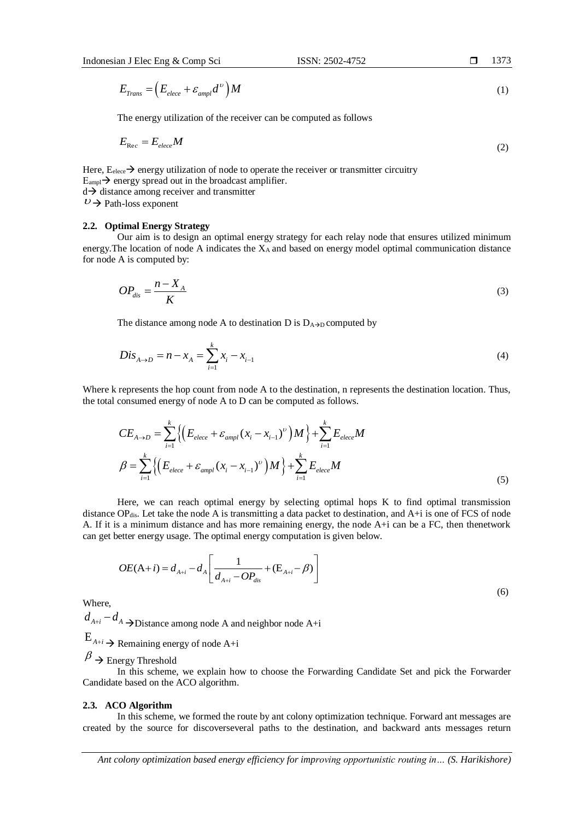$E_{Trans} = (E_{elece} + \varepsilon_{ampl} d^{\nu}) M$ υ  $=\left(E_{elece}+\varepsilon_{am}\right)$ (1)

The energy utilization of the receiver can be computed as follows

$$
E_{\text{Rec}} = E_{elece}M\tag{2}
$$

Here,  $E_{\text{elece}} \rightarrow$  energy utilization of node to operate the receiver or transmitter circuitry  $E_{\text{ampl}}$   $\rightarrow$  energy spread out in the broadcast amplifier.  $d \rightarrow$  distance among receiver and transmitter

 $\nu \rightarrow$  Path-loss exponent

#### **2.2. Optimal Energy Strategy**

Our aim is to design an optimal energy strategy for each relay node that ensures utilized minimum energy. The location of node A indicates the  $X_A$  and based on energy model optimal communication distance for node A is computed by:

$$
OP_{dis} = \frac{n - X_A}{K} \tag{3}
$$

The distance among node A to destination D is  $D_{A\rightarrow D}$  computed by

$$
Dis_{A \to D} = n - x_A = \sum_{i=1}^{k} x_i - x_{i-1}
$$
\n(4)

Where k represents the hop count from node A to the destination, n represents the destination location. Thus, the total consumed energy of node A to D can be computed as follows.

represents the hop count from node A to the destination, n represents the destination location. Thus,  
consumed energy of node A to D can be computed as follows.  

$$
CE_{A\rightarrow D} = \sum_{i=1}^{k} \left\{ \left( E_{elece} + \varepsilon_{ampl} (x_i - x_{i-1})^{\nu} \right) M \right\} + \sum_{i=1}^{k} E_{elece} M
$$

$$
\beta = \sum_{i=1}^{k} \left\{ \left( E_{elece} + \varepsilon_{ampl} (x_i - x_{i-1})^{\nu} \right) M \right\} + \sum_{i=1}^{k} E_{elece} M
$$
(5)

Here, we can reach optimal energy by selecting optimal hops K to find optimal transmission distance  $OP_{dis}$ . Let take the node A is transmitting a data packet to destination, and  $A+i$  is one of FCS of node A. If it is a minimum distance and has more remaining energy, the node A+i can be a FC, then thenetwork

can get better energy usage. The optimal energy computation is given below.  
\n
$$
OE(A+i) = d_{A+i} - d_A \left[ \frac{1}{d_{A+i} - OP_{dis}} + (E_{A+i} - \beta) \right]
$$
\n(6)

Where,

 $d_{A+i} - d_A$  > Distance among node A and neighbor node A+i

# $E_{A+i}$   $\rightarrow$  Remaining energy of node A+i

 $\beta \rightarrow$  Energy Threshold

In this scheme, we explain how to choose the Forwarding Candidate Set and pick the Forwarder Candidate based on the ACO algorithm.

#### **2.3. ACO Algorithm**

In this scheme, we formed the route by ant colony optimization technique. Forward ant messages are created by the source for discoverseveral paths to the destination, and backward ants messages return

*Ant colony optimization based energy efficiency for improving opportunistic routing in… (S. Harikishore)*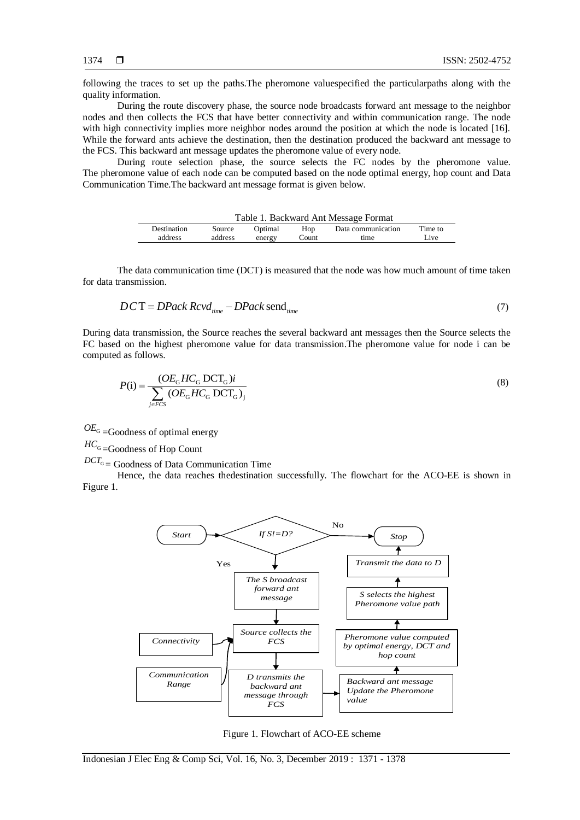following the traces to set up the paths.The pheromone valuespecified the particularpaths along with the quality information.

During the route discovery phase, the source node broadcasts forward ant message to the neighbor nodes and then collects the FCS that have better connectivity and within communication range. The node with high connectivity implies more neighbor nodes around the position at which the node is located [16]. While the forward ants achieve the destination, then the destination produced the backward ant message to the FCS. This backward ant message updates the pheromone value of every node.

During route selection phase, the source selects the FC nodes by the pheromone value. The pheromone value of each node can be computed based on the node optimal energy, hop count and Data Communication Time.The backward ant message format is given below.

| Table 1. Backward Ant Message Format |         |         |       |                    |         |  |
|--------------------------------------|---------|---------|-------|--------------------|---------|--|
| Destination                          | Source  | Optimal | Hop   | Data communication | Time to |  |
| address                              | address | energy  | Count | time               | Live    |  |

The data communication time (DCT) is measured that the node was how much amount of time taken for data transmission.

$$
DCT = DPack Rcv d_{time} - DPack send_{time}
$$
 (7)

During data transmission, the Source reaches the several backward ant messages then the Source selects the FC based on the highest pheromone value for data transmission.The pheromone value for node i can be computed as follows.

$$
P(i) = \frac{(OE_{G}HC_{G} DCT_{G})i}{\sum_{j \in FCS} (OE_{G}HC_{G} DCT_{G})_{j}}
$$
\n(8)

 $OE<sub>G</sub>$  =Goodness of optimal energy

 $^{HC_{{\rm G}}}=$ Goodness of Hop Count

 $DCT_G$  = Goodness of Data Communication Time

Hence, the data reaches thedestination successfully. The flowchart for the ACO-EE is shown in Figure 1.



Figure 1. Flowchart of ACO-EE scheme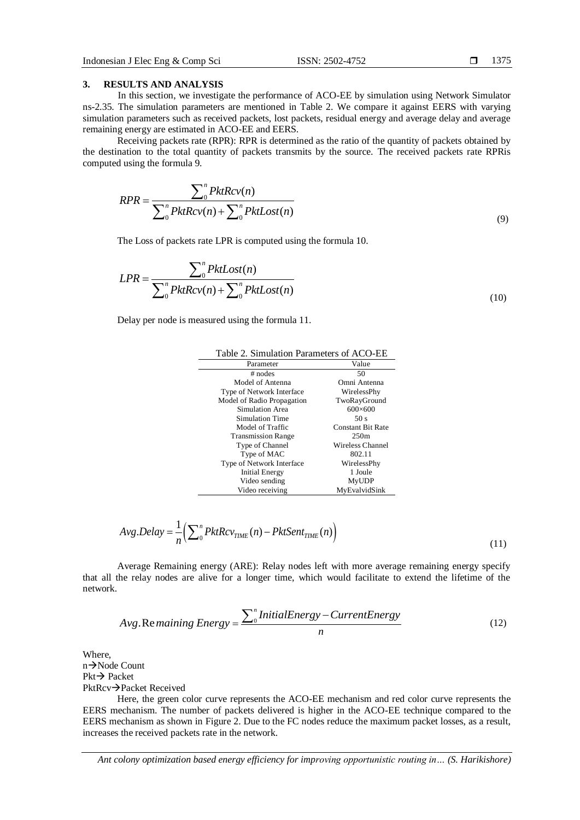#### **3. RESULTS AND ANALYSIS**

In this section, we investigate the performance of ACO-EE by simulation using Network Simulator ns-2.35. The simulation parameters are mentioned in Table 2. We compare it against EERS with varying simulation parameters such as received packets, lost packets, residual energy and average delay and average remaining energy are estimated in ACO-EE and EERS.

Receiving packets rate (RPR): RPR is determined as the ratio of the quantity of packets obtained by the destination to the total quantity of packets transmits by the source. The received packets rate RPRis computed using the formula 9.

$$
RPR = \frac{\sum_{0}^{n} PktRcv(n)}{\sum_{0}^{n} PktRcv(n) + \sum_{0}^{n} PktCost(n)}
$$
\n(9)

The Loss of packets rate LPR is computed using the formula 10.

$$
LPR = \frac{\sum_{0}^{n} PktCost(n)}{\sum_{0}^{n} PktRcv(n) + \sum_{0}^{n} PktCost(n)}
$$
\n(10)

Delay per node is measured using the formula 11.

| Parameter                  | Value                    |  |
|----------------------------|--------------------------|--|
| $#$ nodes                  | 50                       |  |
| Model of Antenna           | Omni Antenna             |  |
| Type of Network Interface  | WirelessPhy              |  |
| Model of Radio Propagation | TwoRayGround             |  |
| Simulation Area            | $600\times 600$          |  |
| Simulation Time            | 50 s                     |  |
| Model of Traffic           | <b>Constant Bit Rate</b> |  |
| <b>Transmission Range</b>  | 250m                     |  |
| Type of Channel            | <b>Wireless Channel</b>  |  |
| Type of MAC                | 802.11                   |  |
| Type of Network Interface  | WirelessPhy              |  |
| Initial Energy             | 1 Joule                  |  |
| Video sending              | <b>MyUDP</b>             |  |
| Video receiving            | MyEvalvidSink            |  |

Table 2. Simulation Parameters of ACO-EE

$$
Avg.Delay = \frac{1}{n} \left( \sum_{0}^{n} PktRcv_{TIME}(n) - PktSent_{TIME}(n) \right)
$$
\n(11)

Average Remaining energy (ARE): Relay nodes left with more average remaining energy specify that all the relay nodes are alive for a longer time, which would facilitate to extend the lifetime of the network.<br> *Avg.* Remaining *Energy* =  $\frac{\sum_{o}^{n} InitialEnergy - CurrentEnergy}{(12)}$ network.

$$
Avg. Re\,maining\,Energy = \frac{\sum_{0}^{n} InitialEnergy - CurrentEnergy}{n}
$$
\n(12)

Where,  $n\rightarrow$ Node Count  $Pkt \rightarrow$  Packet PktRcv→Packet Received

Here, the green color curve represents the ACO-EE mechanism and red color curve represents the EERS mechanism. The number of packets delivered is higher in the ACO-EE technique compared to the EERS mechanism as shown in Figure 2. Due to the FC nodes reduce the maximum packet losses, as a result, increases the received packets rate in the network.

*Ant colony optimization based energy efficiency for improving opportunistic routing in… (S. Harikishore)*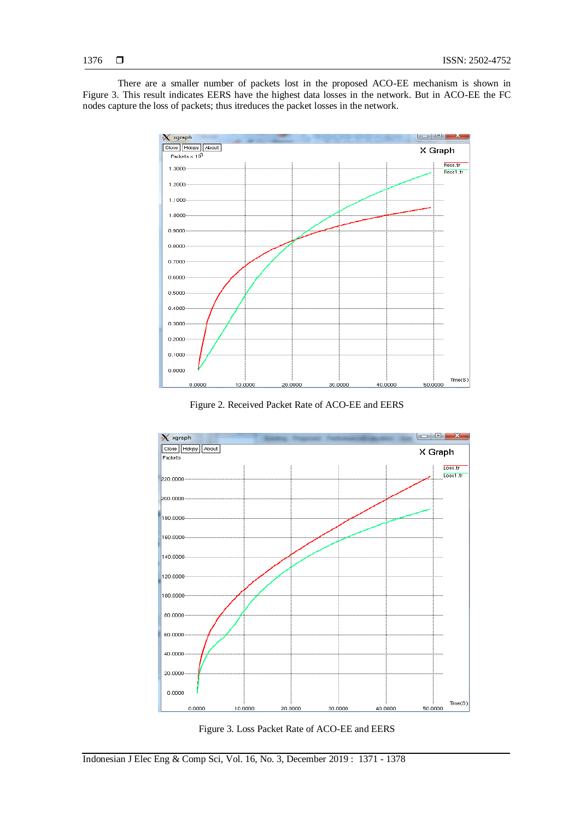There are a smaller number of packets lost in the proposed ACO-EE mechanism is shown in Figure 3. This result indicates EERS have the highest data losses in the network. But in ACO-EE the FC nodes capture the loss of packets; thus itreduces the packet losses in the network.



Figure 2. Received Packet Rate of ACO-EE and EERS



Figure 3. Loss Packet Rate of ACO-EE and EERS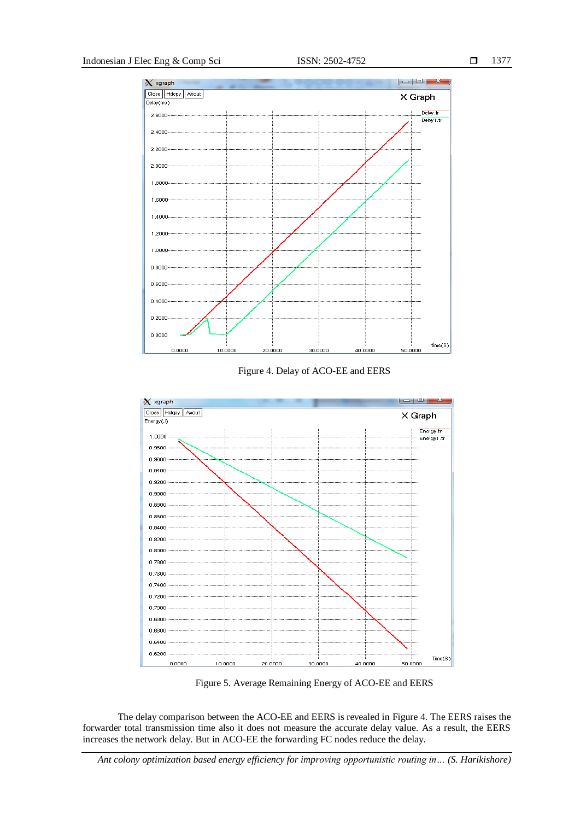

Figure 4. Delay of ACO-EE and EERS



Figure 5. Average Remaining Energy of ACO-EE and EERS

The delay comparison between the ACO-EE and EERS is revealed in Figure 4. The EERS raises the forwarder total transmission time also it does not measure the accurate delay value. As a result, the EERS increases the network delay. But in ACO-EE the forwarding FC nodes reduce the delay.

*Ant colony optimization based energy efficiency for improving opportunistic routing in… (S. Harikishore)*